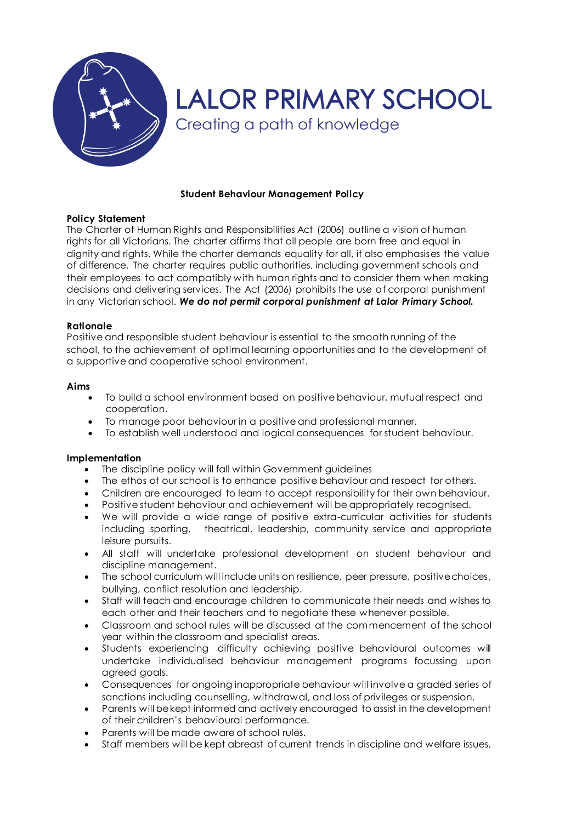

# **LALOR PRIMARY SCHOOL** Creating a path of knowledge

## **Student Behaviour Management Policy**

## **Policy Statement**

The Charter of Human Rights and Responsibilities Act (2006) outline a vision of human rights for all Victorians. The charter affirms that all people are born free and equal in dignity and rights. While the charter demands equality for all, it also emphasises the value of difference. The charter requires public authorities, including government schools and their employees to act compatibly with human rights and to consider them when making decisions and delivering services. The Act (2006) prohibits the use of corporal punishment in any Victorian school. *We do not permit corporal punishment at Lalor Primary School.*

## **Rationale**

Positive and responsible student behaviour is essential to the smooth running of the school, to the achievement of optimal learning opportunities and to the development of a supportive and cooperative school environment.

## **Aims**

- To build a school environment based on positive behaviour, mutual respect and cooperation.
- To manage poor behaviour in a positive and professional manner.
- To establish well understood and logical consequences for student behaviour.

## **Implementation**

- The discipline policy will fall within Government guidelines
- The ethos of our school is to enhance positive behaviour and respect for others.
- Children are encouraged to learn to accept responsibility for their own behaviour.
- Positive student behaviour and achievement will be appropriately recognised.
- We will provide a wide range of positive extra-curricular activities for students including sporting, theatrical, leadership, community service and appropriate leisure pursuits.
- All staff will undertake professional development on student behaviour and discipline management.
- The school curriculum will include units on resilience, peer pressure, positive choices, bullying, conflict resolution and leadership.
- Staff will teach and encourage children to communicate their needs and wishes to each other and their teachers and to negotiate these whenever possible.
- Classroom and school rules will be discussed at the commencement of the school year within the classroom and specialist areas.
- Students experiencing difficulty achieving positive behavioural outcomes will undertake individualised behaviour management programs focussing upon agreed goals.
- Consequences for ongoing inappropriate behaviour will involve a graded series of sanctions including counselling, withdrawal, and loss of privileges or suspension.
- Parents will be kept informed and actively encouraged to assist in the development of their children's behavioural performance.
- Parents will be made aware of school rules.
- Staff members will be kept abreast of current trends in discipline and welfare issues.